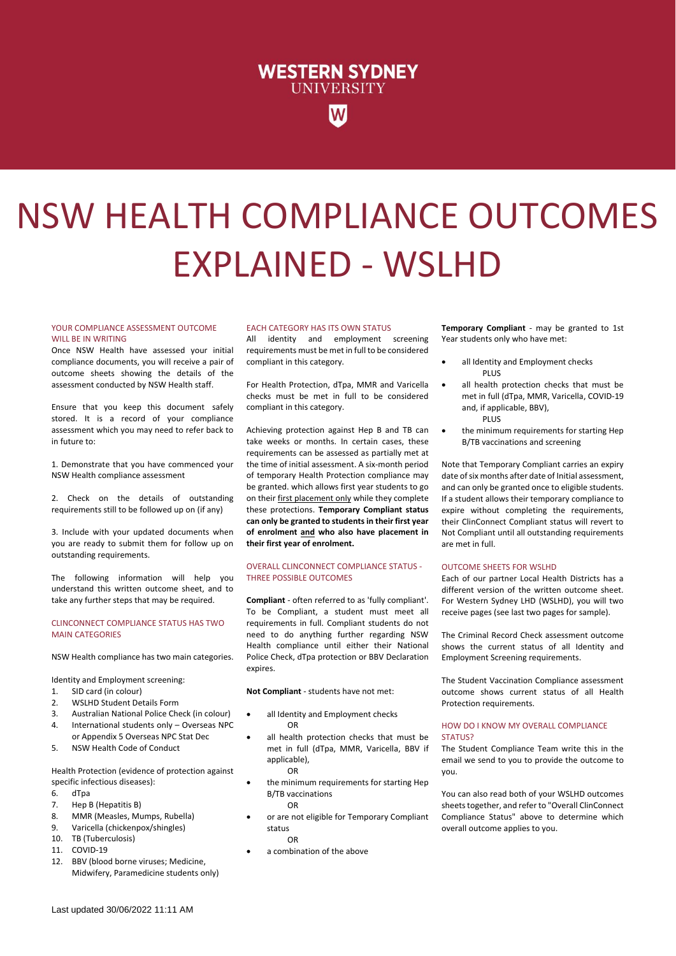## **WESTERN SYDNEY UNIVERSITY**

# NSW HEALTH COMPLIANCE OUTCOMES EXPLAINED - WSLHD

#### YOUR COMPLIANCE ASSESSMENT OUTCOME WILL BE IN WRITING

Once NSW Health have assessed your initial compliance documents, you will receive a pair of outcome sheets showing the details of the assessment conducted by NSW Health staff.

Ensure that you keep this document safely stored. It is a record of your compliance assessment which you may need to refer back to in future to:

1. Demonstrate that you have commenced your NSW Health compliance assessment

2. Check on the details of outstanding requirements still to be followed up on (if any)

3. Include with your updated documents when you are ready to submit them for follow up on outstanding requirements.

The following information will help you understand this written outcome sheet, and to take any further steps that may be required.

#### CLINCONNECT COMPLIANCE STATUS HAS TWO MAIN CATEGORIES

NSW Health compliance has two main categories.

Identity and Employment screening:

- 1. SID card (in colour)
- 2. WSLHD Student Details Form
- 3. Australian National Police Check (in colour)
- 4. International students only Overseas NPC or Appendix 5 Overseas NPC Stat Dec
- 5. NSW Health Code of Conduct

Health Protection (evidence of protection against specific infectious diseases):

- 6. dTpa
- 7. Hep B (Hepatitis B)
- 8. MMR (Measles, Mumps, Rubella)
- 9. Varicella (chickenpox/shingles)
- 10. TB (Tuberculosis)
- 11. COVID-19
- 12. BBV (blood borne viruses; Medicine, Midwifery, Paramedicine students only)

#### EACH CATEGORY HAS ITS OWN STATUS

All identity and employment screening requirements must be met in full to be considered compliant in this category.

For Health Protection, dTpa, MMR and Varicella checks must be met in full to be considered compliant in this category.

Achieving protection against Hep B and TB can take weeks or months. In certain cases, these requirements can be assessed as partially met at the time of initial assessment. A six-month period of temporary Health Protection compliance may be granted. which allows first year students to go on their first placement only while they complete these protections. **Temporary Compliant status can only be granted to students in their first year of enrolment and who also have placement in their first year of enrolment.**

#### OVERALL CLINCONNECT COMPLIANCE STATUS - THREE POSSIBLE OUTCOMES

**Compliant** - often referred to as 'fully compliant'. To be Compliant, a student must meet all requirements in full. Compliant students do not need to do anything further regarding NSW Health compliance until either their National Police Check, dTpa protection or BBV Declaration expires.

**Not Compliant** - students have not met:

- all Identity and Employment checks OR
- all health protection checks that must be met in full (dTpa, MMR, Varicella, BBV if applicable), OR
- the minimum requirements for starting Hep B/TB vaccinations OR
- or are not eligible for Temporary Compliant status OR
- a combination of the above

**Temporary Compliant** - may be granted to 1st Year students only who have met:

- all Identity and Employment checks PLUS
- all health protection checks that must be met in full (dTpa, MMR, Varicella, COVID-19 and, if applicable, BBV), PLUS
- the minimum requirements for starting Hep B/TB vaccinations and screening

Note that Temporary Compliant carries an expiry date of six months after date of Initial assessment, and can only be granted once to eligible students. If a student allows their temporary compliance to expire without completing the requirements, their ClinConnect Compliant status will revert to Not Compliant until all outstanding requirements are met in full.

#### OUTCOME SHEETS FOR WSLHD

Each of our partner Local Health Districts has a different version of the written outcome sheet. For Western Sydney LHD (WSLHD), you will two receive pages (see last two pages for sample).

The Criminal Record Check assessment outcome shows the current status of all Identity and Employment Screening requirements.

The Student Vaccination Compliance assessment outcome shows current status of all Health Protection requirements.

#### HOW DO I KNOW MY OVERALL COMPLIANCE STATUS?

The Student Compliance Team write this in the email we send to you to provide the outcome to you.

You can also read both of your WSLHD outcomes sheets together, and refer to "Overall ClinConnect Compliance Status" above to determine which overall outcome applies to you.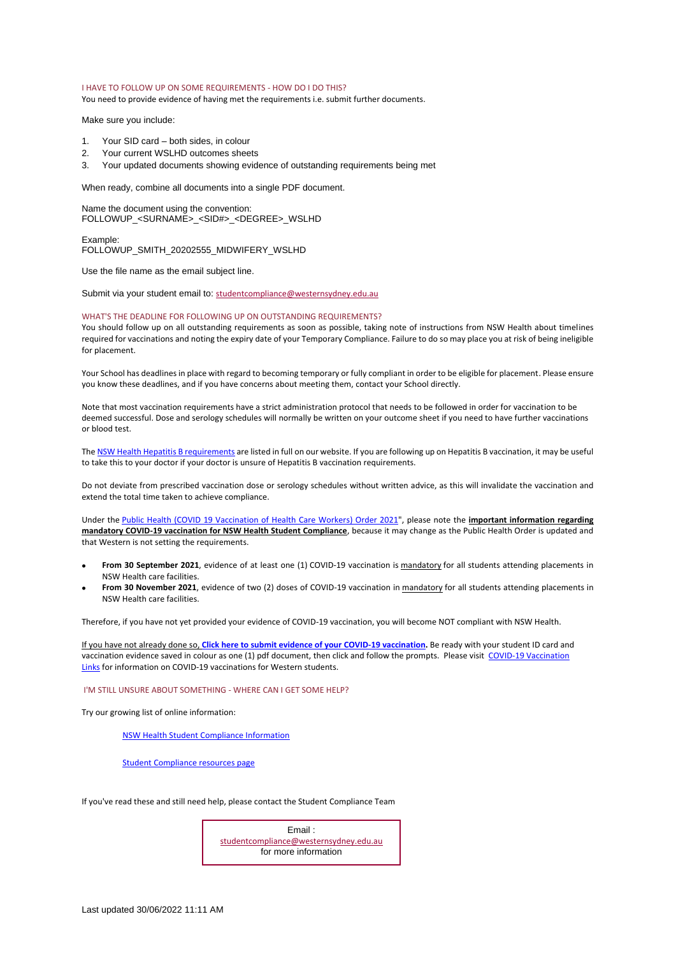#### I HAVE TO FOLLOW UP ON SOME REQUIREMENTS - HOW DO I DO THIS?

You need to provide evidence of having met the requirements i.e. submit further documents.

Make sure you include:

- 1. Your SID card both sides, in colour
- 2. Your current WSLHD outcomes sheets
- 3. Your updated documents showing evidence of outstanding requirements being met

When ready, combine all documents into a single PDF document.

Name the document using the convention: FOLLOWUP\_<SURNAME>\_<SID#>\_<DEGREE>\_WSLHD

Example: FOLLOWUP\_SMITH\_20202555\_MIDWIFERY\_WSLHD

Use the file name as the email subject line.

Submit via your student email to: [studentcompliance@westernsydney.edu.au](mailto:studentcompliance@westernsydney.edu.au)

#### WHAT'S THE DEADLINE FOR FOLLOWING UP ON OUTSTANDING REQUIREMENTS?

You should follow up on all outstanding requirements as soon as possible, taking note of instructions from NSW Health about timelines required for vaccinations and noting the expiry date of your Temporary Compliance. Failure to do so may place you at risk of being ineligible for placement.

Your School has deadlines in place with regard to becoming temporary or fully compliant in order to be eligible for placement. Please ensure you know these deadlines, and if you have concerns about meeting them, contact your School directly.

Note that most vaccination requirements have a strict administration protocol that needs to be followed in order for vaccination to be deemed successful. Dose and serology schedules will normally be written on your outcome sheet if you need to have further vaccinations or blood test.

Th[e NSW Health Hepatitis B requirements](https://www.westernsydney.edu.au/__data/assets/pdf_file/0008/1656962/Student_Support_Doc_-_NSWH_Hepatitis_B_Requirements_2020.05.pdf) are listed in full on our website. If you are following up on Hepatitis B vaccination, it may be useful to take this to your doctor if your doctor is unsure of Hepatitis B vaccination requirements.

Do not deviate from prescribed vaccination dose or serology schedules without written advice, as this will invalidate the vaccination and extend the total time taken to achieve compliance.

Under the [Public Health \(COVID 19 Vaccination of Health Care Workers\) Order 2021"](https://gazette.legislation.nsw.gov.au/so/download.w3p?id=Gazette_2021_2021-411.pdf), please note the **important information regarding mandatory COVID-19 vaccination for NSW Health Student Compliance**, because it may change as the Public Health Order is updated and that Western is not setting the requirements.

- **From 30 September 2021**, evidence of at least one (1) COVID-19 vaccination is mandatory for all students attending placements in NSW Health care facilities.
- **From 30 November 2021**, evidence of two (2) doses of COVID-19 vaccination in mandatory for all students attending placements in NSW Health care facilities.

Therefore, if you have not yet provided your evidence of COVID-19 vaccination, you will become NOT compliant with NSW Health.

If you have not already done so, **[Click here to submit evidence of your COVID](https://wsu.service-now.com/student?id=wsu_cat_item&sys_id=b761759d1b5bd050c13a0edddc4bcbe3&sysparm_category=3c644544dbe39c504f58e434059619b1)-19 vaccination.** Be ready with your student ID card and vaccination evidence saved in colour as one (1) pdf document, then click and follow the prompts. Please visit [COVID-19 Vaccination](http://www.westernsydney.edu.au/placements_hub/placements_hub/covid19_vaccinations)  [Links](http://www.westernsydney.edu.au/placements_hub/placements_hub/covid19_vaccinations) for information on COVID-19 vaccinations for Western students.

#### I'M STILL UNSURE ABOUT SOMETHING - WHERE CAN I GET SOME HELP?

Try our growing list of online information:

[NSW Health Student Compliance Information](https://www.westernsydney.edu.au/__data/assets/pdf_file/0007/1647655/NSWH_Student_Compliance_Information_Booklet_2021_v3.5.pdf)

[Student Compliance resources page](https://www.westernsydney.edu.au/learning_futures/home/placements_hub/student_compliance/general_resources)

If you've read these and still need help, please contact the Student Compliance Team

Email : [studentcompliance@westernsydney.edu.au](mailto:studentcompliance@westernsydney.edu.au) for more information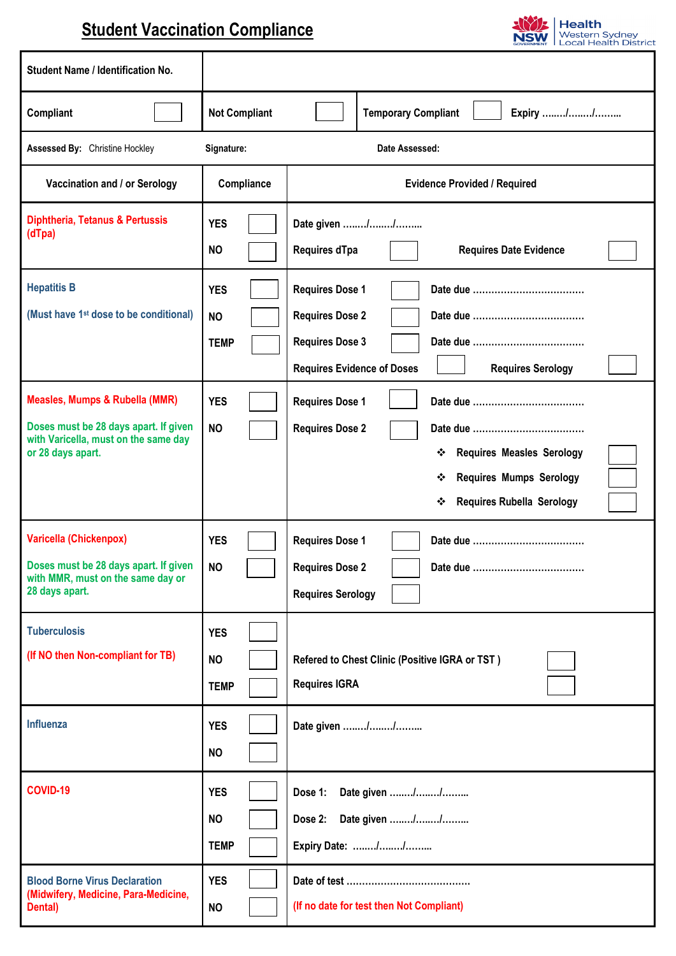## **Student Vaccination Compliance**



| <b>Student Name / Identification No.</b>                                                                                                        |                                                      |                                                                                                                                                                 |  |  |
|-------------------------------------------------------------------------------------------------------------------------------------------------|------------------------------------------------------|-----------------------------------------------------------------------------------------------------------------------------------------------------------------|--|--|
| Compliant                                                                                                                                       | <b>Not Compliant</b>                                 | <b>Temporary Compliant</b><br>Expiry //                                                                                                                         |  |  |
| <b>Assessed By: Christine Hockley</b>                                                                                                           | Signature:                                           | Date Assessed:                                                                                                                                                  |  |  |
| Vaccination and / or Serology                                                                                                                   | Compliance                                           | <b>Evidence Provided / Required</b>                                                                                                                             |  |  |
| Diphtheria, Tetanus & Pertussis<br>(dTpa)                                                                                                       | <b>YES</b><br><b>NO</b>                              | Date given //<br>Requires dTpa<br><b>Requires Date Evidence</b>                                                                                                 |  |  |
| <b>Hepatitis B</b><br>(Must have 1 <sup>st</sup> dose to be conditional)                                                                        | <b>YES</b><br><b>NO</b><br><b>TEMP</b>               | <b>Requires Dose 1</b><br><b>Requires Dose 2</b><br><b>Requires Dose 3</b><br><b>Requires Evidence of Doses</b><br><b>Requires Serology</b>                     |  |  |
| <b>Measles, Mumps &amp; Rubella (MMR)</b><br>Doses must be 28 days apart. If given<br>with Varicella, must on the same day<br>or 28 days apart. | <b>YES</b><br><b>NO</b>                              | <b>Requires Dose 1</b><br><b>Requires Dose 2</b><br>* Requires Measles Serology<br><b>Requires Mumps Serology</b><br>❖<br><b>Requires Rubella Serology</b><br>❖ |  |  |
| <b>Varicella (Chickenpox)</b><br>Doses must be 28 days apart. If given<br>with MMR, must on the same day or<br>28 days apart.                   | <b>YES</b><br><b>NO</b>                              | <b>Requires Dose 1</b><br><b>Requires Dose 2</b><br><b>Requires Serology</b>                                                                                    |  |  |
| <b>Tuberculosis</b><br>(If NO then Non-compliant for TB)<br>Influenza                                                                           | <b>YES</b><br><b>NO</b><br><b>TEMP</b><br><b>YES</b> | Refered to Chest Clinic (Positive IGRA or TST)<br><b>Requires IGRA</b><br>Date given //                                                                         |  |  |
|                                                                                                                                                 | <b>NO</b>                                            |                                                                                                                                                                 |  |  |
| COVID-19                                                                                                                                        | <b>YES</b><br><b>NO</b><br><b>TEMP</b>               | Date given //<br>Dose 1:<br>Date given //<br>Dose 2:<br>Expiry Date: //                                                                                         |  |  |
| <b>Blood Borne Virus Declaration</b><br>(Midwifery, Medicine, Para-Medicine,<br>Dental)                                                         | <b>YES</b><br><b>NO</b>                              | (If no date for test then Not Compliant)                                                                                                                        |  |  |